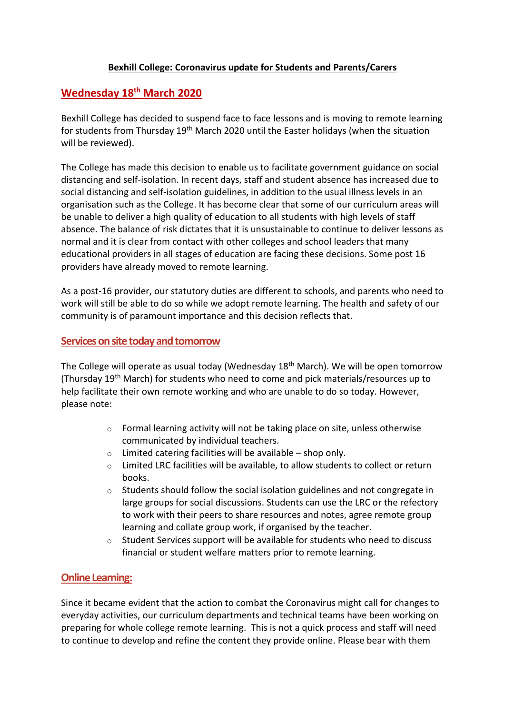### **Bexhill College: Coronavirus update for Students and Parents/Carers**

# **Wednesday 18th March 2020**

Bexhill College has decided to suspend face to face lessons and is moving to remote learning for students from Thursday 19<sup>th</sup> March 2020 until the Easter holidays (when the situation will be reviewed).

The College has made this decision to enable us to facilitate government guidance on social distancing and self-isolation. In recent days, staff and student absence has increased due to social distancing and self-isolation guidelines, in addition to the usual illness levels in an organisation such as the College. It has become clear that some of our curriculum areas will be unable to deliver a high quality of education to all students with high levels of staff absence. The balance of risk dictates that it is unsustainable to continue to deliver lessons as normal and it is clear from contact with other colleges and school leaders that many educational providers in all stages of education are facing these decisions. Some post 16 providers have already moved to remote learning.

As a post-16 provider, our statutory duties are different to schools, and parents who need to work will still be able to do so while we adopt remote learning. The health and safety of our community is of paramount importance and this decision reflects that.

### **Services on site today and tomorrow**

The College will operate as usual today (Wednesday 18<sup>th</sup> March). We will be open tomorrow (Thursday 19th March) for students who need to come and pick materials/resources up to help facilitate their own remote working and who are unable to do so today. However, please note:

- o Formal learning activity will not be taking place on site, unless otherwise communicated by individual teachers.
- o Limited catering facilities will be available shop only.
- o Limited LRC facilities will be available, to allow students to collect or return books.
- $\circ$  Students should follow the social isolation guidelines and not congregate in large groups for social discussions. Students can use the LRC or the refectory to work with their peers to share resources and notes, agree remote group learning and collate group work, if organised by the teacher.
- $\circ$  Student Services support will be available for students who need to discuss financial or student welfare matters prior to remote learning.

# **Online Learning:**

Since it became evident that the action to combat the Coronavirus might call for changes to everyday activities, our curriculum departments and technical teams have been working on preparing for whole college remote learning. This is not a quick process and staff will need to continue to develop and refine the content they provide online. Please bear with them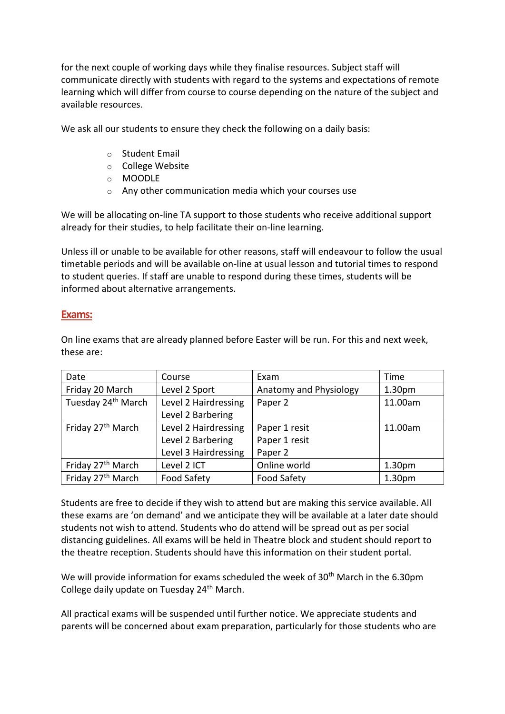for the next couple of working days while they finalise resources. Subject staff will communicate directly with students with regard to the systems and expectations of remote learning which will differ from course to course depending on the nature of the subject and available resources.

We ask all our students to ensure they check the following on a daily basis:

- o Student Email
- o College Website
- o MOODLE
- o Any other communication media which your courses use

We will be allocating on-line TA support to those students who receive additional support already for their studies, to help facilitate their on-line learning.

Unless ill or unable to be available for other reasons, staff will endeavour to follow the usual timetable periods and will be available on-line at usual lesson and tutorial times to respond to student queries. If staff are unable to respond during these times, students will be informed about alternative arrangements.

#### **Exams:**

On line exams that are already planned before Easter will be run. For this and next week, these are:

| Date                           | Course               | Exam                   | Time               |
|--------------------------------|----------------------|------------------------|--------------------|
| Friday 20 March                | Level 2 Sport        | Anatomy and Physiology | 1.30 <sub>pm</sub> |
| Tuesday 24 <sup>th</sup> March | Level 2 Hairdressing | Paper 2                | 11.00am            |
|                                | Level 2 Barbering    |                        |                    |
| Friday 27 <sup>th</sup> March  | Level 2 Hairdressing | Paper 1 resit          | 11.00am            |
|                                | Level 2 Barbering    | Paper 1 resit          |                    |
|                                | Level 3 Hairdressing | Paper 2                |                    |
| Friday 27 <sup>th</sup> March  | Level 2 ICT          | Online world           | 1.30 <sub>pm</sub> |
| Friday 27 <sup>th</sup> March  | <b>Food Safety</b>   | <b>Food Safety</b>     | 1.30pm             |

Students are free to decide if they wish to attend but are making this service available. All these exams are 'on demand' and we anticipate they will be available at a later date should students not wish to attend. Students who do attend will be spread out as per social distancing guidelines. All exams will be held in Theatre block and student should report to the theatre reception. Students should have this information on their student portal.

We will provide information for exams scheduled the week of 30<sup>th</sup> March in the 6.30pm College daily update on Tuesday 24th March.

All practical exams will be suspended until further notice. We appreciate students and parents will be concerned about exam preparation, particularly for those students who are